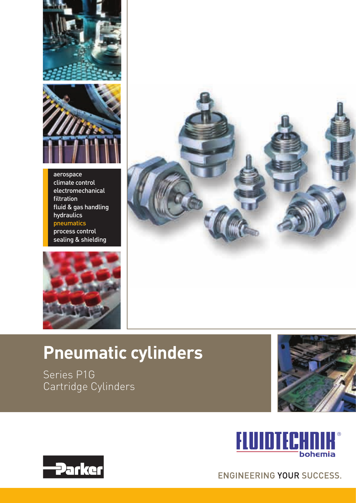



aerospace climate control electromechanical filtration fluid & gas handling hydraulics pneumatics process control sealing & shielding





# **Pneumatic cylinders**

Series P1G Cartridge Cylinders







**ENGINEERING YOUR SUCCESS.**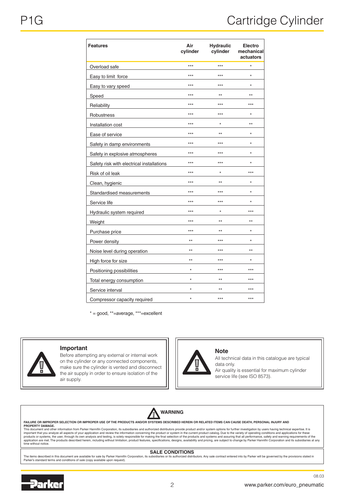| <b>Features</b>                                             | Air<br>cylinder | <b>Hydraulic</b><br>cylinder | Electro<br>mechanical<br>actuators |  |
|-------------------------------------------------------------|-----------------|------------------------------|------------------------------------|--|
| Overload safe                                               | ***             | $***$                        | $\star$                            |  |
| Easy to limit force                                         | $***$           | $***$                        | $\star$                            |  |
| Easy to vary speed                                          | $***$           | $***$                        | $\star$                            |  |
| Speed                                                       | $***$           | $\star\star$                 | $^{\star\star}$                    |  |
| Reliability<br>the control of the control of the control of | $***$           | $***$                        | ***                                |  |
| Robustness                                                  | $***$           | $***$                        | $\star$                            |  |
| Installation cost                                           | $***$           | $\star$                      | $^{\star\star}$                    |  |
| Ease of service                                             | $***$           | $^{**}$                      | $\star$                            |  |
| Safety in damp environments                                 | ***             | $***$                        | $\star$                            |  |
| Safety in explosive atmospheres                             | $***$           | $***$                        | $\star$                            |  |
| Safety risk with electrical installations                   | $***$           | $***$                        | $\star$                            |  |
| Risk of oil leak                                            | $***$           | $\star$                      | $***$                              |  |
| Clean, hygienic                                             | $***$           | $**$                         | $\star$                            |  |
| Standardised measurements                                   | $***$           | $***$                        | $\star$                            |  |
| Service life                                                | $***$           | $***$                        | $\star$                            |  |
| Hydraulic system required                                   | $***$           | $\star$                      | $***$                              |  |
| Weight                                                      | $***$           | $***$                        | $**$                               |  |
| Purchase price                                              | $***$           | $***$                        | $\star$                            |  |
| Power density                                               | $\star\star$    | $***$                        | $\star$                            |  |
| Noise level during operation                                | $\star\star$    | $***$                        | $*$                                |  |
| High force for size                                         | $***$           | $***$                        | $\star$                            |  |
| Positioning possibilities                                   | $\star$         | $***$                        | $***$                              |  |
| Total energy consumption                                    | $\star$         | $*$                          | $***$                              |  |
| Service interval                                            | $\star$         | $+ +$                        | $+ + +$                            |  |
| Compressor capacity required                                | $\star$         | $***$                        | $***$                              |  |

 $* = \text{good}, ** = \text{average}, ** = \text{excellent}$ 



#### **Important**

Before attempting any external or internal work on the cylinder or any connected components, make sure the cylinder is vented and disconnect the air supply in order to ensure isolation of the air supply.

#### **Note**

All technical data in this catalogue are typical data only. Air quality is essential for maximum cylinder

service life (see ISO 8573).



#### **FAILURE OR IMPROPER SELECTION OR IMPROPER USE OF THE PRODUCTS AND/OR SYSTEMS DESCRIBED HEREIN OR RELATED ITEMS CAN CAUSE DEATH, PERSONAL INJURY AND**

**PROPERTY DAMAGE.**<br>This document and other information from Parker Hannifin Corporation, its subsidiaries and authorized distributors provide product and/or system options for further investigation by users having technica

#### **SALE CONDITIONS**

The items described in this document are available for sale by Parker Hannifin Corporation, its subsidiaries or its authorized distributors. Any sale contract entered into by Parker will be governed by the provisions state



08.03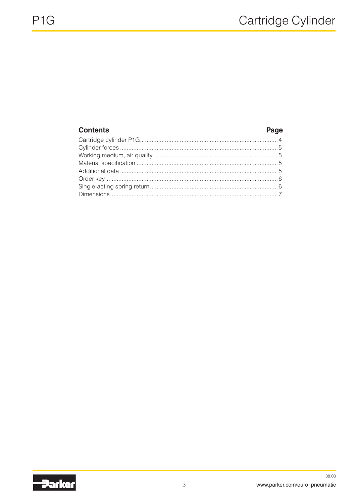# **Contents**

## Page

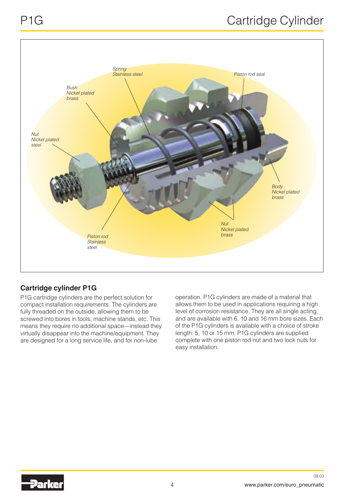

# **Cartridge cylinder P1G**

P1G cartridge cylinders are the perfect solution for compact installation requirements. The cylinders are fully threaded on the outside, allowing them to be screwed into bores in tools, machine stands, etc. This means they require no additional space—instead they virtually disappear into the machine/equipment. They are designed for a long service life, and for non-lube

operation. P1G cylinders are made of a material that allows them to be used in applications requiring a high level of corrosion resistance. They are all single acting, and are available with 6, 10 and 16 mm bore sizes. Each of the P1G cylinders is available with a choice of stroke length: 5, 10 or 15 mm. P1G cylinders are supplied complete with one piston rod nut and two lock nuts for easy installation.

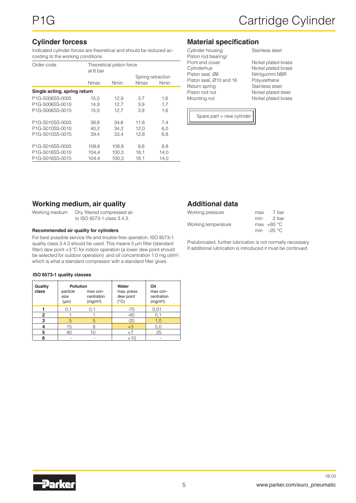#### **Cylinder forcess**

Indicated cylinder forces are theoretical and should be reduced according to the working conditions.

| Order code<br>Theoretical piston force<br>at 6 bar |                     |       |                           |             |  |  |  |  |  |  |  |
|----------------------------------------------------|---------------------|-------|---------------------------|-------------|--|--|--|--|--|--|--|
|                                                    |                     |       | Spring retraction<br>Nmax | <b>Nmin</b> |  |  |  |  |  |  |  |
|                                                    | <b>Nmin</b><br>Nmax |       |                           |             |  |  |  |  |  |  |  |
| Single acting, spring return                       |                     |       |                           |             |  |  |  |  |  |  |  |
| P <sub>1G-S006SS-0005</sub>                        | 15,0                | 12,9  | 3,7                       | 1,6         |  |  |  |  |  |  |  |
| P1G-S006SS-0010                                    | 14.9                | 12,7  | 3,9                       | 1,7         |  |  |  |  |  |  |  |
| P <sub>1G-S006SS-0015</sub>                        | 15.0                | 12.7  | 3.9                       | 1,6         |  |  |  |  |  |  |  |
| P1G-S010SS-0005                                    | 38,8                | 34,6  | 11,6                      | 7,4         |  |  |  |  |  |  |  |
| P1G-S010SS-0010                                    | 40,2                | 34,2  | 12,0                      | 6,0         |  |  |  |  |  |  |  |
| P <sub>1G-S010SS-0015</sub>                        | 39,4                | 33,4  | 12,8                      | 6,8         |  |  |  |  |  |  |  |
| P1G-S016SS-0005                                    | 109,6               | 108,8 | 9,6                       | 8,8         |  |  |  |  |  |  |  |
| P1G-S016SS-0010                                    | 104.4               | 100,3 | 18,1                      | 14,0        |  |  |  |  |  |  |  |
| P1G-S016SS-0015                                    | 104.4               | 100,3 | 18,1                      | 14,0        |  |  |  |  |  |  |  |

#### **Material specification**

| Cylinder housing        | Stainless steel     |
|-------------------------|---------------------|
| Piston rod bearing/     |                     |
| Front end cover         | Nickel plated brass |
| Cylinderhus             | Nickel plated brass |
| Piston seal, Ø6         | Nitrilgummi NBR     |
| Piston seal, Ø10 and 16 | Polyurethane        |
| Return spring           | Stainless steel     |
| Piston rod nut          | Nickel plated steel |
| Mounting nut            | Nickel plated brass |

Stainless steel

 Spare part = new cylinder

#### **Working medium, air quality**

Working medium Dry, filtered compressed air to ISO 8573-1 class 3.4.3.

#### **Recommended air quality for cylinders**

For best possible service life and trouble-free operation, ISO 8573-1 quality class 3.4.3 should be used. This means 5 µm filter (standard filter) dew point +3 ºC for indoor operation (a lower dew point should be selected for outdoor operation) and oil concentration 1.0 mg oil/m<sup>3</sup>, which is what a standard compressor with a standard filter gives.

#### **ISO 8573-1 quality classes**

| Quality<br>class | <b>Pollution</b><br>particle<br>size<br>$(\mu m)$ | max con-<br>centration<br>(mg/m <sup>3</sup> ) | Water<br>max. press.<br>dew point<br>(°C) | Oil<br>max con-<br>centration<br>(mg/m <sup>3</sup> ) |  |  |
|------------------|---------------------------------------------------|------------------------------------------------|-------------------------------------------|-------------------------------------------------------|--|--|
|                  |                                                   | U. 1                                           | $-70$                                     | 0,01                                                  |  |  |
| 2                |                                                   |                                                | $-40$                                     |                                                       |  |  |
| 3                | 5                                                 | 5                                              | $-20$                                     | 1.0                                                   |  |  |
|                  | 15                                                |                                                | $+3$                                      | 5,0                                                   |  |  |
| 5                | 40                                                | 10                                             | $+7$                                      | 25                                                    |  |  |
| 6                |                                                   |                                                | $+10$                                     |                                                       |  |  |

## **Additional data**

| max | 7 bar        |
|-----|--------------|
|     | 2 bar        |
|     | max $+80 °C$ |
|     | min $-20$ °C |
|     | min          |

Prelubricated, further lubrication is not normally necessary. If additional lubrication is introduced it must be continued.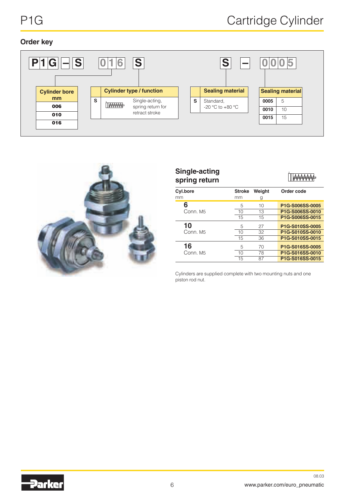### **Order key**





| Single-acting<br>spring return |               |        |                 |
|--------------------------------|---------------|--------|-----------------|
| <b>Cyl.bore</b>                | <b>Stroke</b> | Weight | Order code      |
| mm                             | mm            | g      |                 |
| 6                              | 5             | 10     | P1G-S006SS-0005 |
| Conn. M5                       | 10            | 13     | P1G-S006SS-0010 |
|                                | 15            | 15     | P1G-S006SS-0015 |
| 10                             | 5             | 27     | P1G-S010SS-0005 |
| Conn. M5                       | 10            | 32     | P1G-S010SS-0010 |
|                                | 15            | 36     | P1G-S010SS-0015 |
| 16                             | 5             | 70     | P1G-S016SS-0005 |
| Conn. M5                       | 10            | 78     | P1G-S016SS-0010 |
|                                | 15            | 87     | P1G-S016SS-0015 |

Cylinders are supplied complete with two mounting nuts and one piston rod nut.

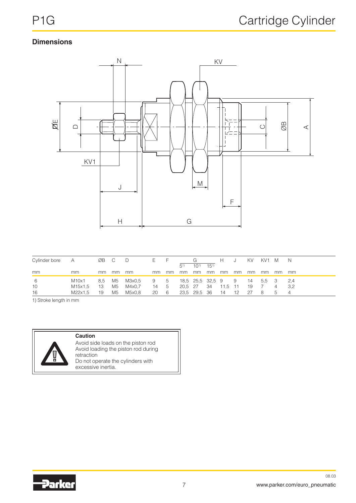# **Dimensions**



| Cylinder bore<br><b>A</b> |         | ØB C   |    |        | E., |     |         |                 |          | н                  |     | KV. | KV1 M |    | N              |
|---------------------------|---------|--------|----|--------|-----|-----|---------|-----------------|----------|--------------------|-----|-----|-------|----|----------------|
|                           |         |        |    |        |     |     | (51)    | $10^{1}$        | $15^{1}$ |                    |     |     |       |    |                |
| mm                        | mm      | mm     | mm | mm     | mm  | mm  | mm      | mm              | mm       | mm                 | mm. | mm  | mm    | mm | mm             |
| - 6                       | M10x1   | 8,5 M5 |    | M3x0.5 | 9 5 |     |         |                 |          | 18.5 25.5 32.5 9 9 |     | 14  | 5.5 3 |    | - 2.4          |
| 10                        | M15x1,5 | - 13   | M5 | M4x0.7 | 14  | - 5 | 20,5 27 |                 | 34       | - 11.5             | 11  | -19 |       |    | 3.2            |
| 16                        | M22x1.5 | 19     | M5 | M5x0.8 | 20  | 6   |         | 23,5 29,5 36 14 |          |                    | 12  | -27 | -8    | 5  | $\overline{4}$ |

1) Stroke length in mm



#### **Caution**

Avoid side loads on the piston rod Avoid loading the piston rod during retraction Do not operate the cylinders with excessive inertia.